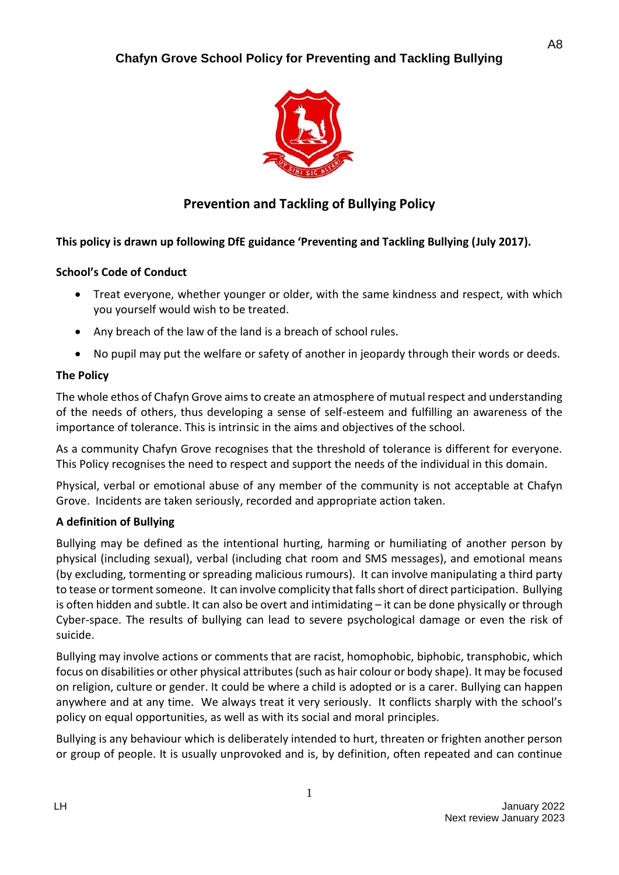

# **Prevention and Tackling of Bullying Policy**

## **This policy is drawn up following DfE guidance 'Preventing and Tackling Bullying (July 2017).**

### **School's Code of Conduct**

- Treat everyone, whether younger or older, with the same kindness and respect, with which you yourself would wish to be treated.
- Any breach of the law of the land is a breach of school rules.
- No pupil may put the welfare or safety of another in jeopardy through their words or deeds.

## **The Policy**

The whole ethos of Chafyn Grove aims to create an atmosphere of mutual respect and understanding of the needs of others, thus developing a sense of self-esteem and fulfilling an awareness of the importance of tolerance. This is intrinsic in the aims and objectives of the school.

As a community Chafyn Grove recognises that the threshold of tolerance is different for everyone. This Policy recognises the need to respect and support the needs of the individual in this domain.

Physical, verbal or emotional abuse of any member of the community is not acceptable at Chafyn Grove. Incidents are taken seriously, recorded and appropriate action taken.

### **A definition of Bullying**

Bullying may be defined as the intentional hurting, harming or humiliating of another person by physical (including sexual), verbal (including chat room and SMS messages), and emotional means (by excluding, tormenting or spreading malicious rumours). It can involve manipulating a third party to tease or torment someone. It can involve complicity that falls short of direct participation. Bullying is often hidden and subtle. It can also be overt and intimidating – it can be done physically or through Cyber-space. The results of bullying can lead to severe psychological damage or even the risk of suicide.

Bullying may involve actions or comments that are racist, homophobic, biphobic, transphobic, which focus on disabilities or other physical attributes (such as hair colour or body shape). It may be focused on religion, culture or gender. It could be where a child is adopted or is a carer. Bullying can happen anywhere and at any time. We always treat it very seriously. It conflicts sharply with the school's policy on equal opportunities, as well as with its social and moral principles.

Bullying is any behaviour which is deliberately intended to hurt, threaten or frighten another person or group of people. It is usually unprovoked and is, by definition, often repeated and can continue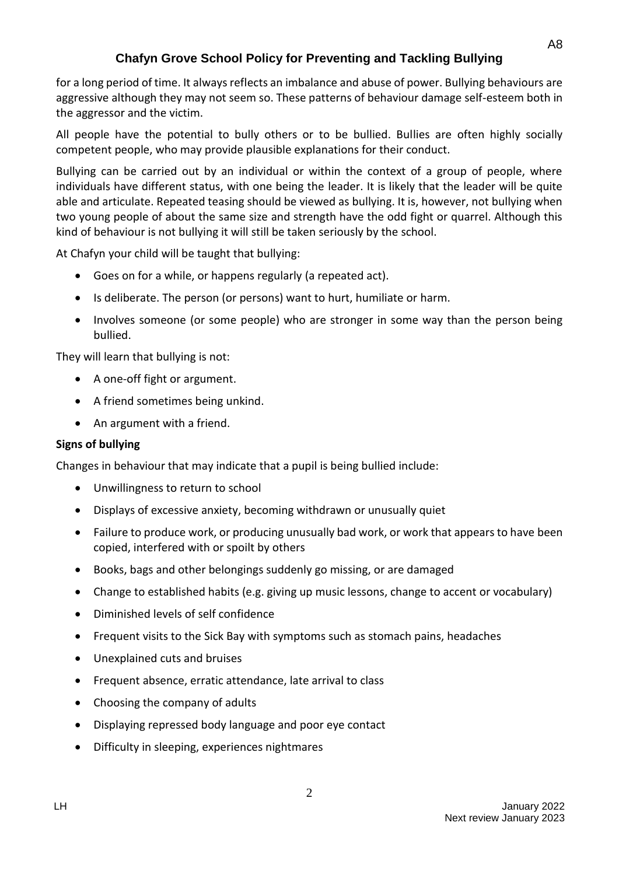for a long period of time. It always reflects an imbalance and abuse of power. Bullying behaviours are aggressive although they may not seem so. These patterns of behaviour damage self-esteem both in the aggressor and the victim.

All people have the potential to bully others or to be bullied. Bullies are often highly socially competent people, who may provide plausible explanations for their conduct.

Bullying can be carried out by an individual or within the context of a group of people, where individuals have different status, with one being the leader. It is likely that the leader will be quite able and articulate. Repeated teasing should be viewed as bullying. It is, however, not bullying when two young people of about the same size and strength have the odd fight or quarrel. Although this kind of behaviour is not bullying it will still be taken seriously by the school.

At Chafyn your child will be taught that bullying:

- Goes on for a while, or happens regularly (a repeated act).
- Is deliberate. The person (or persons) want to hurt, humiliate or harm.
- Involves someone (or some people) who are stronger in some way than the person being bullied.

They will learn that bullying is not:

- A one-off fight or argument.
- A friend sometimes being unkind.
- An argument with a friend.

### **Signs of bullying**

Changes in behaviour that may indicate that a pupil is being bullied include:

- Unwillingness to return to school
- Displays of excessive anxiety, becoming withdrawn or unusually quiet
- Failure to produce work, or producing unusually bad work, or work that appears to have been copied, interfered with or spoilt by others
- Books, bags and other belongings suddenly go missing, or are damaged
- Change to established habits (e.g. giving up music lessons, change to accent or vocabulary)
- Diminished levels of self confidence
- Frequent visits to the Sick Bay with symptoms such as stomach pains, headaches
- Unexplained cuts and bruises
- Frequent absence, erratic attendance, late arrival to class
- Choosing the company of adults
- Displaying repressed body language and poor eye contact
- Difficulty in sleeping, experiences nightmares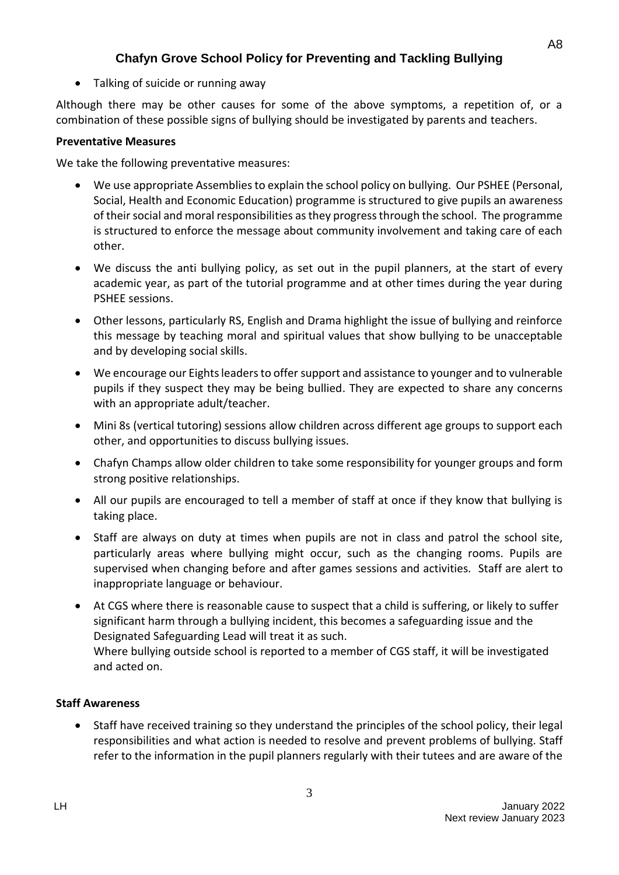• Talking of suicide or running away

Although there may be other causes for some of the above symptoms, a repetition of, or a combination of these possible signs of bullying should be investigated by parents and teachers.

## **Preventative Measures**

We take the following preventative measures:

- We use appropriate Assemblies to explain the school policy on bullying. Our PSHEE (Personal, Social, Health and Economic Education) programme is structured to give pupils an awareness of their social and moral responsibilities as they progress through the school. The programme is structured to enforce the message about community involvement and taking care of each other.
- We discuss the anti bullying policy, as set out in the pupil planners, at the start of every academic year, as part of the tutorial programme and at other times during the year during PSHEE sessions.
- Other lessons, particularly RS, English and Drama highlight the issue of bullying and reinforce this message by teaching moral and spiritual values that show bullying to be unacceptable and by developing social skills.
- We encourage our Eights leaders to offer support and assistance to younger and to vulnerable pupils if they suspect they may be being bullied. They are expected to share any concerns with an appropriate adult/teacher.
- Mini 8s (vertical tutoring) sessions allow children across different age groups to support each other, and opportunities to discuss bullying issues.
- Chafyn Champs allow older children to take some responsibility for younger groups and form strong positive relationships.
- All our pupils are encouraged to tell a member of staff at once if they know that bullying is taking place.
- Staff are always on duty at times when pupils are not in class and patrol the school site, particularly areas where bullying might occur, such as the changing rooms. Pupils are supervised when changing before and after games sessions and activities. Staff are alert to inappropriate language or behaviour.
- At CGS where there is reasonable cause to suspect that a child is suffering, or likely to suffer significant harm through a bullying incident, this becomes a safeguarding issue and the Designated Safeguarding Lead will treat it as such. Where bullying outside school is reported to a member of CGS staff, it will be investigated and acted on.

## **Staff Awareness**

• Staff have received training so they understand the principles of the school policy, their legal responsibilities and what action is needed to resolve and prevent problems of bullying. Staff refer to the information in the pupil planners regularly with their tutees and are aware of the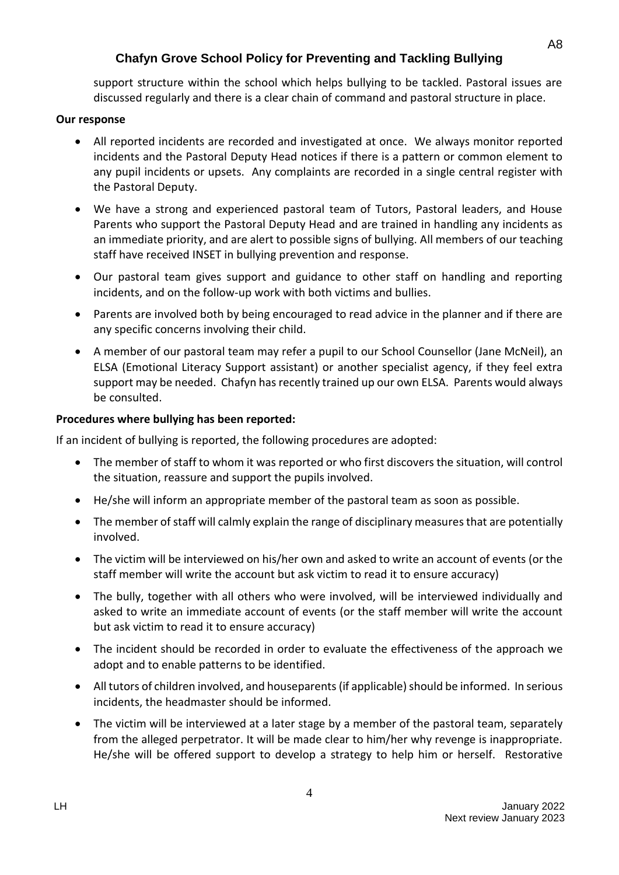support structure within the school which helps bullying to be tackled. Pastoral issues are discussed regularly and there is a clear chain of command and pastoral structure in place.

### **Our response**

- All reported incidents are recorded and investigated at once. We always monitor reported incidents and the Pastoral Deputy Head notices if there is a pattern or common element to any pupil incidents or upsets. Any complaints are recorded in a single central register with the Pastoral Deputy.
- We have a strong and experienced pastoral team of Tutors, Pastoral leaders, and House Parents who support the Pastoral Deputy Head and are trained in handling any incidents as an immediate priority, and are alert to possible signs of bullying. All members of our teaching staff have received INSET in bullying prevention and response.
- Our pastoral team gives support and guidance to other staff on handling and reporting incidents, and on the follow-up work with both victims and bullies.
- Parents are involved both by being encouraged to read advice in the planner and if there are any specific concerns involving their child.
- A member of our pastoral team may refer a pupil to our School Counsellor (Jane McNeil), an ELSA (Emotional Literacy Support assistant) or another specialist agency, if they feel extra support may be needed. Chafyn has recently trained up our own ELSA. Parents would always be consulted.

### **Procedures where bullying has been reported:**

If an incident of bullying is reported, the following procedures are adopted:

- The member of staff to whom it was reported or who first discovers the situation, will control the situation, reassure and support the pupils involved.
- He/she will inform an appropriate member of the pastoral team as soon as possible.
- The member of staff will calmly explain the range of disciplinary measures that are potentially involved.
- The victim will be interviewed on his/her own and asked to write an account of events (or the staff member will write the account but ask victim to read it to ensure accuracy)
- The bully, together with all others who were involved, will be interviewed individually and asked to write an immediate account of events (or the staff member will write the account but ask victim to read it to ensure accuracy)
- The incident should be recorded in order to evaluate the effectiveness of the approach we adopt and to enable patterns to be identified.
- All tutors of children involved, and houseparents (if applicable) should be informed. In serious incidents, the headmaster should be informed.
- The victim will be interviewed at a later stage by a member of the pastoral team, separately from the alleged perpetrator. It will be made clear to him/her why revenge is inappropriate. He/she will be offered support to develop a strategy to help him or herself. Restorative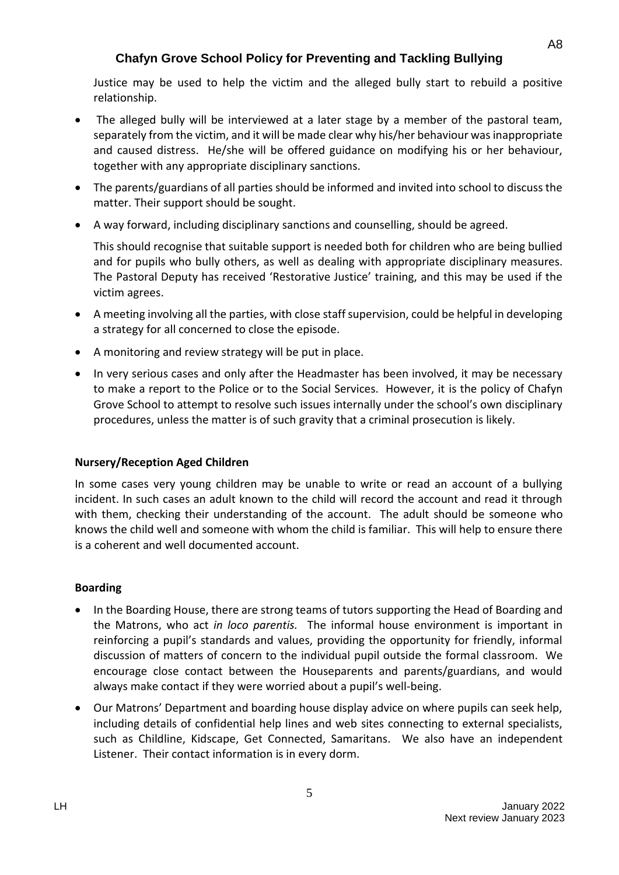Justice may be used to help the victim and the alleged bully start to rebuild a positive relationship.

- The alleged bully will be interviewed at a later stage by a member of the pastoral team, separately from the victim, and it will be made clear why his/her behaviour was inappropriate and caused distress. He/she will be offered guidance on modifying his or her behaviour, together with any appropriate disciplinary sanctions.
- The parents/guardians of all parties should be informed and invited into school to discuss the matter. Their support should be sought.
- A way forward, including disciplinary sanctions and counselling, should be agreed.

This should recognise that suitable support is needed both for children who are being bullied and for pupils who bully others, as well as dealing with appropriate disciplinary measures. The Pastoral Deputy has received 'Restorative Justice' training, and this may be used if the victim agrees.

- A meeting involving all the parties, with close staff supervision, could be helpful in developing a strategy for all concerned to close the episode.
- A monitoring and review strategy will be put in place.
- In very serious cases and only after the Headmaster has been involved, it may be necessary to make a report to the Police or to the Social Services. However, it is the policy of Chafyn Grove School to attempt to resolve such issues internally under the school's own disciplinary procedures, unless the matter is of such gravity that a criminal prosecution is likely.

### **Nursery/Reception Aged Children**

In some cases very young children may be unable to write or read an account of a bullying incident. In such cases an adult known to the child will record the account and read it through with them, checking their understanding of the account. The adult should be someone who knows the child well and someone with whom the child is familiar. This will help to ensure there is a coherent and well documented account.

### **Boarding**

- In the Boarding House, there are strong teams of tutors supporting the Head of Boarding and the Matrons, who act *in loco parentis.* The informal house environment is important in reinforcing a pupil's standards and values, providing the opportunity for friendly, informal discussion of matters of concern to the individual pupil outside the formal classroom. We encourage close contact between the Houseparents and parents/guardians, and would always make contact if they were worried about a pupil's well-being.
- Our Matrons' Department and boarding house display advice on where pupils can seek help, including details of confidential help lines and web sites connecting to external specialists, such as Childline, Kidscape, Get Connected, Samaritans. We also have an independent Listener. Their contact information is in every dorm.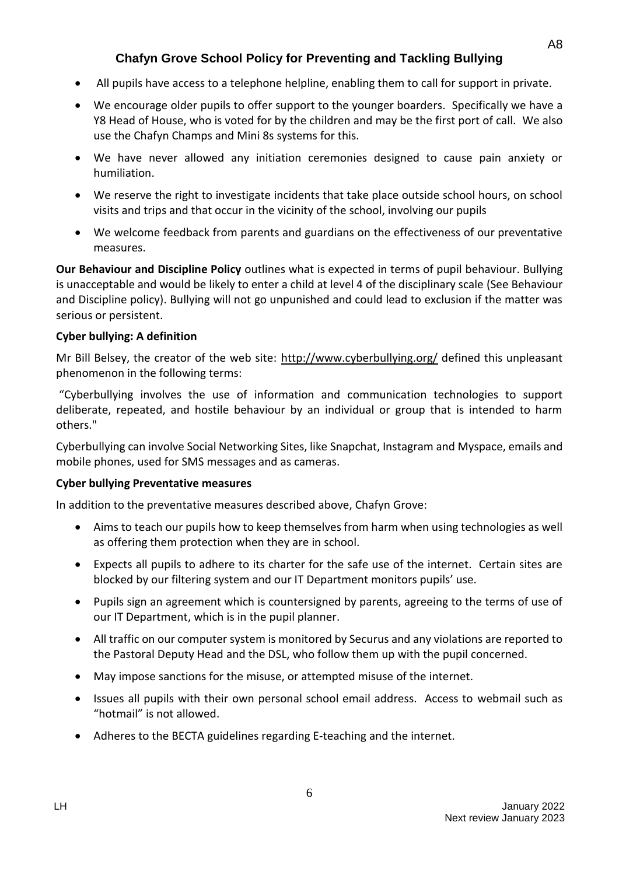- All pupils have access to a telephone helpline, enabling them to call for support in private.
- We encourage older pupils to offer support to the younger boarders. Specifically we have a Y8 Head of House, who is voted for by the children and may be the first port of call. We also use the Chafyn Champs and Mini 8s systems for this.
- We have never allowed any initiation ceremonies designed to cause pain anxiety or humiliation.
- We reserve the right to investigate incidents that take place outside school hours, on school visits and trips and that occur in the vicinity of the school, involving our pupils
- We welcome feedback from parents and guardians on the effectiveness of our preventative measures.

**Our Behaviour and Discipline Policy** outlines what is expected in terms of pupil behaviour. Bullying is unacceptable and would be likely to enter a child at level 4 of the disciplinary scale (See Behaviour and Discipline policy). Bullying will not go unpunished and could lead to exclusion if the matter was serious or persistent.

### **Cyber bullying: A definition**

Mr Bill Belsey, the creator of the web site: <http://www.cyberbullying.org/> defined this unpleasant phenomenon in the following terms:

"Cyberbullying involves the use of information and communication technologies to support deliberate, repeated, and hostile behaviour by an individual or group that is intended to harm others."

Cyberbullying can involve Social Networking Sites, like Snapchat, Instagram and Myspace, emails and mobile phones, used for SMS messages and as cameras.

#### **Cyber bullying Preventative measures**

In addition to the preventative measures described above, Chafyn Grove:

- Aims to teach our pupils how to keep themselves from harm when using technologies as well as offering them protection when they are in school.
- Expects all pupils to adhere to its charter for the safe use of the internet. Certain sites are blocked by our filtering system and our IT Department monitors pupils' use.
- Pupils sign an agreement which is countersigned by parents, agreeing to the terms of use of our IT Department, which is in the pupil planner.
- All traffic on our computer system is monitored by Securus and any violations are reported to the Pastoral Deputy Head and the DSL, who follow them up with the pupil concerned.
- May impose sanctions for the misuse, or attempted misuse of the internet.
- Issues all pupils with their own personal school email address. Access to webmail such as "hotmail" is not allowed.
- Adheres to the BECTA guidelines regarding E-teaching and the internet.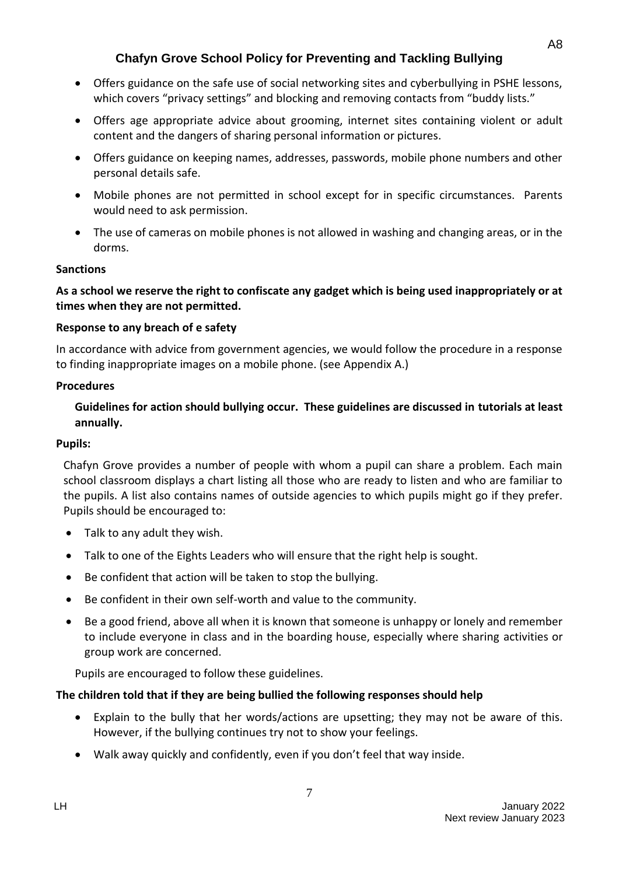- Offers guidance on the safe use of social networking sites and cyberbullying in PSHE lessons, which covers "privacy settings" and blocking and removing contacts from "buddy lists."
- Offers age appropriate advice about grooming, internet sites containing violent or adult content and the dangers of sharing personal information or pictures.
- Offers guidance on keeping names, addresses, passwords, mobile phone numbers and other personal details safe.
- Mobile phones are not permitted in school except for in specific circumstances. Parents would need to ask permission.
- The use of cameras on mobile phones is not allowed in washing and changing areas, or in the dorms.

### **Sanctions**

### **As a school we reserve the right to confiscate any gadget which is being used inappropriately or at times when they are not permitted.**

### **Response to any breach of e safety**

In accordance with advice from government agencies, we would follow the procedure in a response to finding inappropriate images on a mobile phone. (see Appendix A.)

#### **Procedures**

### **Guidelines for action should bullying occur. These guidelines are discussed in tutorials at least annually.**

#### **Pupils:**

Chafyn Grove provides a number of people with whom a pupil can share a problem. Each main school classroom displays a chart listing all those who are ready to listen and who are familiar to the pupils. A list also contains names of outside agencies to which pupils might go if they prefer. Pupils should be encouraged to:

- Talk to any adult they wish.
- Talk to one of the Eights Leaders who will ensure that the right help is sought.
- Be confident that action will be taken to stop the bullying.
- Be confident in their own self-worth and value to the community.
- Be a good friend, above all when it is known that someone is unhappy or lonely and remember to include everyone in class and in the boarding house, especially where sharing activities or group work are concerned.

Pupils are encouraged to follow these guidelines.

### **The children told that if they are being bullied the following responses should help**

- Explain to the bully that her words/actions are upsetting; they may not be aware of this. However, if the bullying continues try not to show your feelings.
- Walk away quickly and confidently, even if you don't feel that way inside.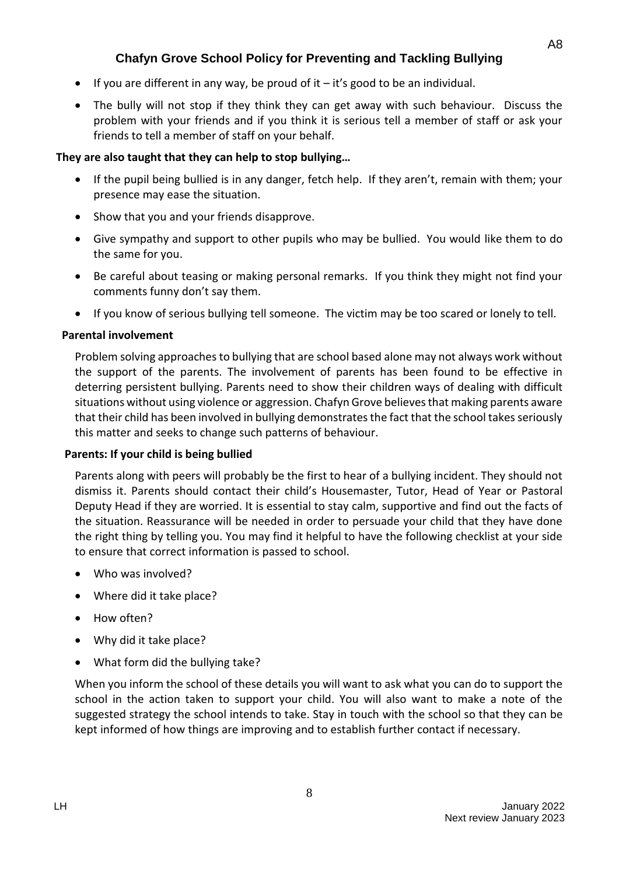- If you are different in any way, be proud of it  $-$  it's good to be an individual.
- The bully will not stop if they think they can get away with such behaviour. Discuss the problem with your friends and if you think it is serious tell a member of staff or ask your friends to tell a member of staff on your behalf.

## **They are also taught that they can help to stop bullying…**

- If the pupil being bullied is in any danger, fetch help. If they aren't, remain with them; your presence may ease the situation.
- Show that you and your friends disapprove.
- Give sympathy and support to other pupils who may be bullied. You would like them to do the same for you.
- Be careful about teasing or making personal remarks. If you think they might not find your comments funny don't say them.
- If you know of serious bullying tell someone. The victim may be too scared or lonely to tell.

### **Parental involvement**

Problem solving approaches to bullying that are school based alone may not always work without the support of the parents. The involvement of parents has been found to be effective in deterring persistent bullying. Parents need to show their children ways of dealing with difficult situations without using violence or aggression. Chafyn Grove believes that making parents aware that their child has been involved in bullying demonstrates the fact that the school takes seriously this matter and seeks to change such patterns of behaviour.

### **Parents: If your child is being bullied**

Parents along with peers will probably be the first to hear of a bullying incident. They should not dismiss it. Parents should contact their child's Housemaster, Tutor, Head of Year or Pastoral Deputy Head if they are worried. It is essential to stay calm, supportive and find out the facts of the situation. Reassurance will be needed in order to persuade your child that they have done the right thing by telling you. You may find it helpful to have the following checklist at your side to ensure that correct information is passed to school.

- Who was involved?
- Where did it take place?
- How often?
- Why did it take place?
- What form did the bullying take?

When you inform the school of these details you will want to ask what you can do to support the school in the action taken to support your child. You will also want to make a note of the suggested strategy the school intends to take. Stay in touch with the school so that they can be kept informed of how things are improving and to establish further contact if necessary.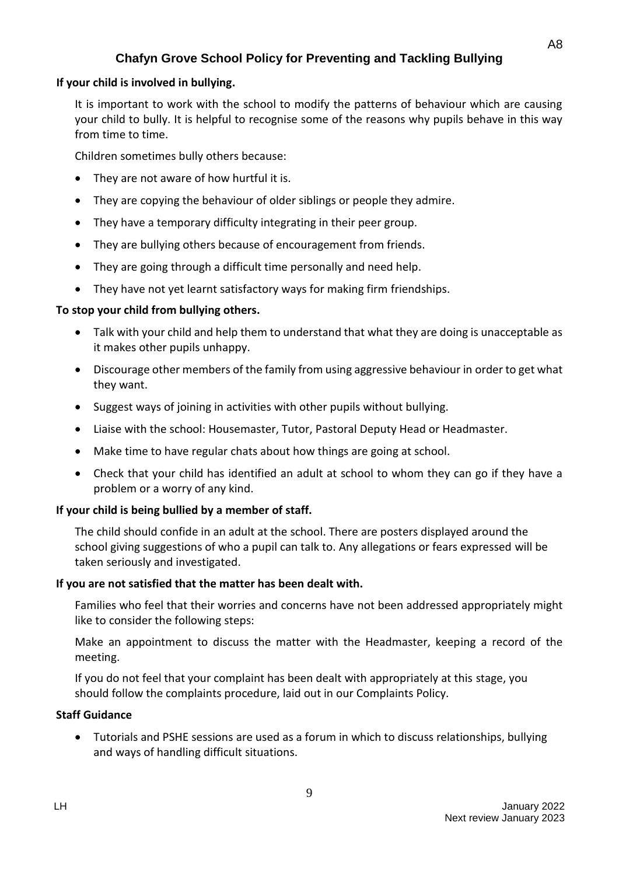### **If your child is involved in bullying.**

It is important to work with the school to modify the patterns of behaviour which are causing your child to bully. It is helpful to recognise some of the reasons why pupils behave in this way from time to time.

Children sometimes bully others because:

- They are not aware of how hurtful it is.
- They are copying the behaviour of older siblings or people they admire.
- They have a temporary difficulty integrating in their peer group.
- They are bullying others because of encouragement from friends.
- They are going through a difficult time personally and need help.
- They have not yet learnt satisfactory ways for making firm friendships.

### **To stop your child from bullying others.**

- Talk with your child and help them to understand that what they are doing is unacceptable as it makes other pupils unhappy.
- Discourage other members of the family from using aggressive behaviour in order to get what they want.
- Suggest ways of joining in activities with other pupils without bullying.
- Liaise with the school: Housemaster, Tutor, Pastoral Deputy Head or Headmaster.
- Make time to have regular chats about how things are going at school.
- Check that your child has identified an adult at school to whom they can go if they have a problem or a worry of any kind.

### **If your child is being bullied by a member of staff.**

The child should confide in an adult at the school. There are posters displayed around the school giving suggestions of who a pupil can talk to. Any allegations or fears expressed will be taken seriously and investigated.

### **If you are not satisfied that the matter has been dealt with.**

Families who feel that their worries and concerns have not been addressed appropriately might like to consider the following steps:

Make an appointment to discuss the matter with the Headmaster, keeping a record of the meeting.

If you do not feel that your complaint has been dealt with appropriately at this stage, you should follow the complaints procedure, laid out in our Complaints Policy.

### **Staff Guidance**

• Tutorials and PSHE sessions are used as a forum in which to discuss relationships, bullying and ways of handling difficult situations.